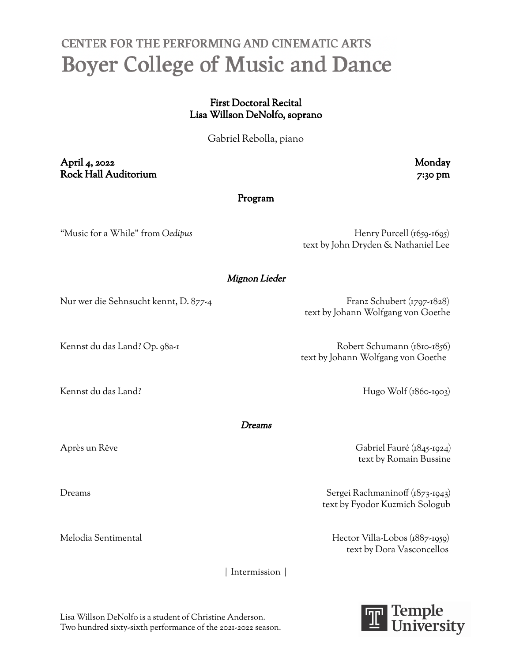## CENTER FOR THE PERFORMING AND CINEMATIC ARTS **Boyer College of Music and Dance**

## First Doctoral Recital Lisa Willson DeNolfo, soprano

Gabriel Rebolla, piano

April 4, 2022 Monday Rock Hall Auditorium 7:30 pm

Program

"Music for a While" from *Oedipus* Henry Purcell (1659-1695) text by John Dryden & Nathaniel Lee

Mignon Lieder

Nur wer die Sehnsucht kennt, D. 877-4 Franz Schubert (1797-1828)

text by Johann Wolfgang von Goethe

Kennst du das Land? Op. 98a-1 Robert Schumann (1810-1856) text by Johann Wolfgang von Goethe

Kennst du das Land? Hugo Wolf (1860-1903)

Dreams

Après un Rêve Gabriel Fauré (1845-1924) text by Romain Bussine

Dreams Sergei Rachmaninoff (1873-1943) text by Fyodor Kuzmich Sologub

Melodia Sentimental Hector Villa-Lobos (1887-1959) text by Dora Vasconcellos

| Intermission |



Lisa Willson DeNolfo is a student of Christine Anderson. Two hundred sixty-sixth performance of the 2021-2022 season.